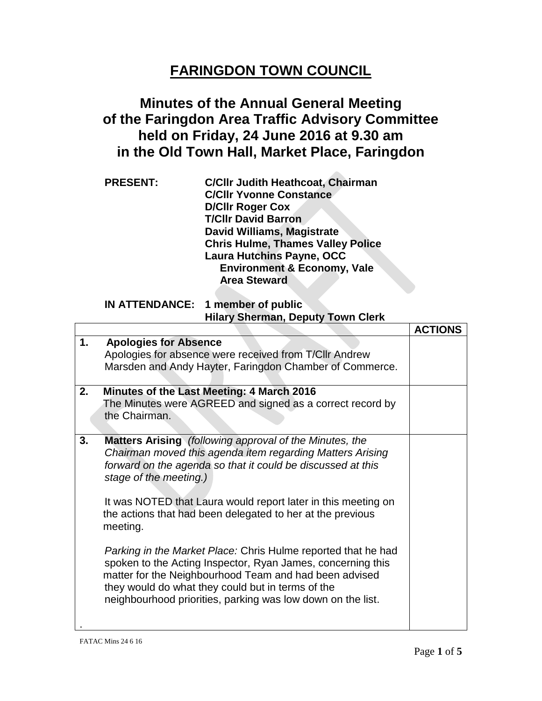## **FARINGDON TOWN COUNCIL**

## **Minutes of the Annual General Meeting of the Faringdon Area Traffic Advisory Committee held on Friday, 24 June 2016 at 9.30 am in the Old Town Hall, Market Place, Faringdon**

| <b>PRESENT:</b> | <b>C/Cllr Judith Heathcoat, Chairman</b> |
|-----------------|------------------------------------------|
|                 | <b>C/Cllr Yvonne Constance</b>           |
|                 | <b>D/Cllr Roger Cox</b>                  |
|                 | <b>T/Cllr David Barron</b>               |
|                 | David Williams, Magistrate               |
|                 | <b>Chris Hulme, Thames Valley Police</b> |
|                 | <b>Laura Hutchins Payne, OCC</b>         |
|                 | <b>Environment &amp; Economy, Vale</b>   |
|                 | <b>Area Steward</b>                      |

## **IN ATTENDANCE: 1 member of public Hilary Sherman, Deputy Town Clerk**

|    |                                                                                                                                                                                                                                                                                                                                                                                                                                                                                                                                                    | <b>ACTIONS</b> |
|----|----------------------------------------------------------------------------------------------------------------------------------------------------------------------------------------------------------------------------------------------------------------------------------------------------------------------------------------------------------------------------------------------------------------------------------------------------------------------------------------------------------------------------------------------------|----------------|
| 1. | <b>Apologies for Absence</b><br>Apologies for absence were received from T/CIIr Andrew<br>Marsden and Andy Hayter, Faringdon Chamber of Commerce.                                                                                                                                                                                                                                                                                                                                                                                                  |                |
| 2. | Minutes of the Last Meeting: 4 March 2016<br>The Minutes were AGREED and signed as a correct record by<br>the Chairman.                                                                                                                                                                                                                                                                                                                                                                                                                            |                |
| 3. | Matters Arising (following approval of the Minutes, the<br>Chairman moved this agenda item regarding Matters Arising<br>forward on the agenda so that it could be discussed at this<br>stage of the meeting.)<br>It was NOTED that Laura would report later in this meeting on<br>the actions that had been delegated to her at the previous<br>meeting.<br>Parking in the Market Place: Chris Hulme reported that he had<br>spoken to the Acting Inspector, Ryan James, concerning this<br>matter for the Neighbourhood Team and had been advised |                |
|    | they would do what they could but in terms of the<br>neighbourhood priorities, parking was low down on the list.                                                                                                                                                                                                                                                                                                                                                                                                                                   |                |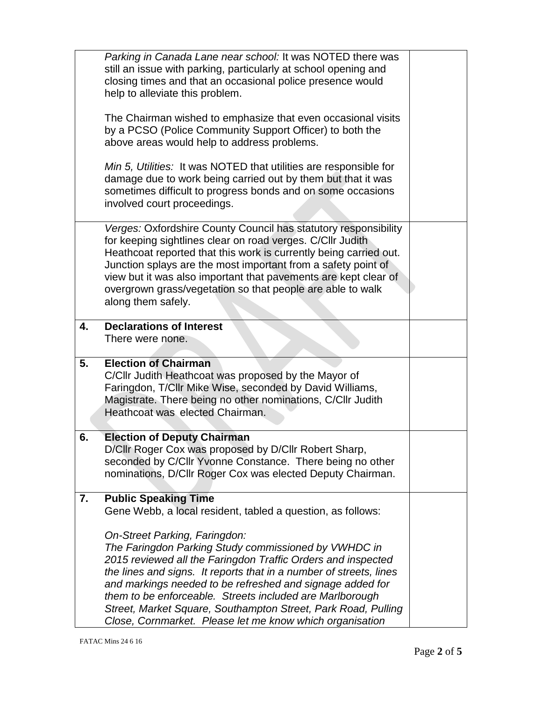|    | Parking in Canada Lane near school: It was NOTED there was                                                                |
|----|---------------------------------------------------------------------------------------------------------------------------|
|    | still an issue with parking, particularly at school opening and                                                           |
|    | closing times and that an occasional police presence would                                                                |
|    | help to alleviate this problem.                                                                                           |
|    | The Chairman wished to emphasize that even occasional visits                                                              |
|    | by a PCSO (Police Community Support Officer) to both the                                                                  |
|    | above areas would help to address problems.                                                                               |
|    | Min 5, Utilities: It was NOTED that utilities are responsible for                                                         |
|    | damage due to work being carried out by them but that it was                                                              |
|    | sometimes difficult to progress bonds and on some occasions                                                               |
|    | involved court proceedings.                                                                                               |
|    |                                                                                                                           |
|    | Verges: Oxfordshire County Council has statutory responsibility                                                           |
|    | for keeping sightlines clear on road verges. C/Cllr Judith                                                                |
|    | Heathcoat reported that this work is currently being carried out.                                                         |
|    | Junction splays are the most important from a safety point of                                                             |
|    | view but it was also important that pavements are kept clear of                                                           |
|    | overgrown grass/vegetation so that people are able to walk                                                                |
|    | along them safely.                                                                                                        |
| 4. | <b>Declarations of Interest</b>                                                                                           |
|    | There were none.                                                                                                          |
|    |                                                                                                                           |
| 5. | <b>Election of Chairman</b>                                                                                               |
|    | C/Cllr Judith Heathcoat was proposed by the Mayor of                                                                      |
|    | Faringdon, T/Cllr Mike Wise, seconded by David Williams,                                                                  |
|    | Magistrate. There being no other nominations, C/Cllr Judith                                                               |
|    | Heathcoat was elected Chairman.                                                                                           |
|    |                                                                                                                           |
| 6. | <b>Election of Deputy Chairman</b><br>D/Cllr Roger Cox was proposed by D/Cllr Robert Sharp,                               |
|    | seconded by C/Cllr Yvonne Constance. There being no other                                                                 |
|    | nominations, D/Cllr Roger Cox was elected Deputy Chairman.                                                                |
|    |                                                                                                                           |
| 7. | <b>Public Speaking Time</b>                                                                                               |
|    | Gene Webb, a local resident, tabled a question, as follows:                                                               |
|    |                                                                                                                           |
|    | On-Street Parking, Faringdon:                                                                                             |
|    | The Faringdon Parking Study commissioned by VWHDC in                                                                      |
|    | 2015 reviewed all the Faringdon Traffic Orders and inspected                                                              |
|    | the lines and signs. It reports that in a number of streets, lines                                                        |
|    | and markings needed to be refreshed and signage added for                                                                 |
|    | them to be enforceable. Streets included are Marlborough                                                                  |
|    | Street, Market Square, Southampton Street, Park Road, Pulling<br>Close, Cornmarket. Please let me know which organisation |
|    |                                                                                                                           |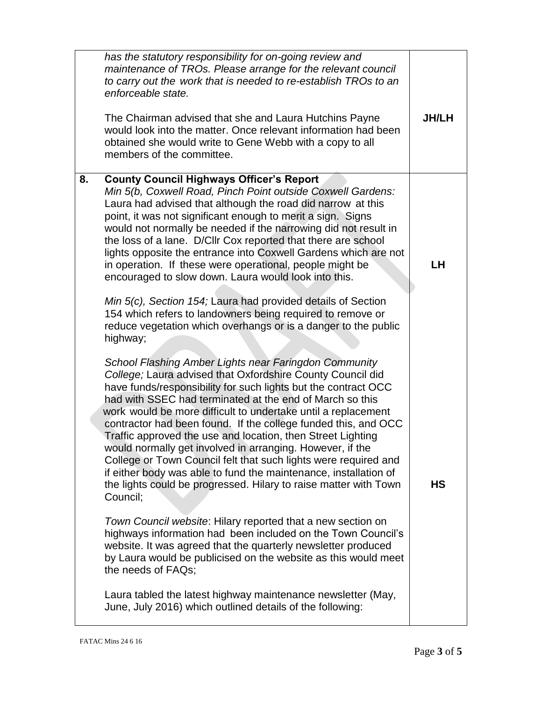| has the statutory responsibility for on-going review and<br>maintenance of TROs. Please arrange for the relevant council<br>to carry out the work that is needed to re-establish TROs to an<br>enforceable state.<br>The Chairman advised that she and Laura Hutchins Payne<br>would look into the matter. Once relevant information had been<br>obtained she would write to Gene Webb with a copy to all<br>members of the committee.                                                                                                                                                                                                                                                                                                                                                                                                                                                                                                                                                                                                                                                                                                                       | <b>JH/LH</b> |
|--------------------------------------------------------------------------------------------------------------------------------------------------------------------------------------------------------------------------------------------------------------------------------------------------------------------------------------------------------------------------------------------------------------------------------------------------------------------------------------------------------------------------------------------------------------------------------------------------------------------------------------------------------------------------------------------------------------------------------------------------------------------------------------------------------------------------------------------------------------------------------------------------------------------------------------------------------------------------------------------------------------------------------------------------------------------------------------------------------------------------------------------------------------|--------------|
| <b>County Council Highways Officer's Report</b><br>8.<br>Min 5(b, Coxwell Road, Pinch Point outside Coxwell Gardens:<br>Laura had advised that although the road did narrow at this<br>point, it was not significant enough to merit a sign. Signs<br>would not normally be needed if the narrowing did not result in<br>the loss of a lane. D/Cllr Cox reported that there are school<br>lights opposite the entrance into Coxwell Gardens which are not<br>in operation. If these were operational, people might be<br>encouraged to slow down. Laura would look into this.<br>Min 5(c), Section 154; Laura had provided details of Section<br>154 which refers to landowners being required to remove or<br>reduce vegetation which overhangs or is a danger to the public<br>highway;                                                                                                                                                                                                                                                                                                                                                                    | <b>LH</b>    |
| School Flashing Amber Lights near Faringdon Community<br>College; Laura advised that Oxfordshire County Council did<br>have funds/responsibility for such lights but the contract OCC<br>had with SSEC had terminated at the end of March so this<br>work would be more difficult to undertake until a replacement<br>contractor had been found. If the college funded this, and OCC<br>Traffic approved the use and location, then Street Lighting<br>would normally get involved in arranging. However, if the<br>College or Town Council felt that such lights were required and<br>if either body was able to fund the maintenance, installation of<br>the lights could be progressed. Hilary to raise matter with Town<br>Council;<br>Town Council website: Hilary reported that a new section on<br>highways information had been included on the Town Council's<br>website. It was agreed that the quarterly newsletter produced<br>by Laura would be publicised on the website as this would meet<br>the needs of FAQs;<br>Laura tabled the latest highway maintenance newsletter (May,<br>June, July 2016) which outlined details of the following: | <b>HS</b>    |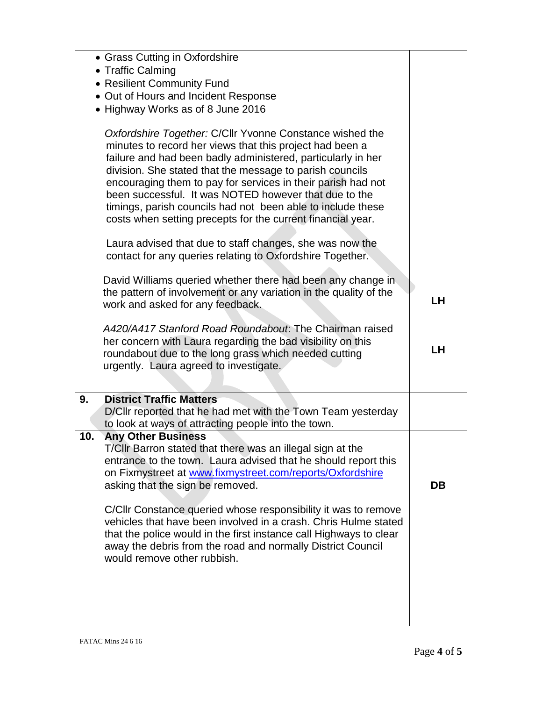| • Grass Cutting in Oxfordshire<br>• Traffic Calming<br>• Resilient Community Fund<br>• Out of Hours and Incident Response<br>• Highway Works as of 8 June 2016                                                                                                                                                                                                                                                                                                                                                                                                             |    |
|----------------------------------------------------------------------------------------------------------------------------------------------------------------------------------------------------------------------------------------------------------------------------------------------------------------------------------------------------------------------------------------------------------------------------------------------------------------------------------------------------------------------------------------------------------------------------|----|
| Oxfordshire Together: C/Cllr Yvonne Constance wished the<br>minutes to record her views that this project had been a<br>failure and had been badly administered, particularly in her<br>division. She stated that the message to parish councils<br>encouraging them to pay for services in their parish had not<br>been successful. It was NOTED however that due to the<br>timings, parish councils had not been able to include these<br>costs when setting precepts for the current financial year.                                                                    |    |
| Laura advised that due to staff changes, she was now the<br>contact for any queries relating to Oxfordshire Together.                                                                                                                                                                                                                                                                                                                                                                                                                                                      |    |
| David Williams queried whether there had been any change in<br>the pattern of involvement or any variation in the quality of the<br>work and asked for any feedback.                                                                                                                                                                                                                                                                                                                                                                                                       | LH |
| A420/A417 Stanford Road Roundabout. The Chairman raised<br>her concern with Laura regarding the bad visibility on this<br>roundabout due to the long grass which needed cutting<br>urgently. Laura agreed to investigate.                                                                                                                                                                                                                                                                                                                                                  | LH |
| <b>District Traffic Matters</b><br>9.<br>D/Cllr reported that he had met with the Town Team yesterday<br>to look at ways of attracting people into the town.                                                                                                                                                                                                                                                                                                                                                                                                               |    |
| 10.<br><b>Any Other Business</b><br>T/Cllr Barron stated that there was an illegal sign at the<br>entrance to the town. Laura advised that he should report this<br>on Fixmystreet at www.fixmystreet.com/reports/Oxfordshire<br>asking that the sign be removed.<br>C/CIIr Constance queried whose responsibility it was to remove<br>vehicles that have been involved in a crash. Chris Hulme stated<br>that the police would in the first instance call Highways to clear<br>away the debris from the road and normally District Council<br>would remove other rubbish. | DB |
|                                                                                                                                                                                                                                                                                                                                                                                                                                                                                                                                                                            |    |